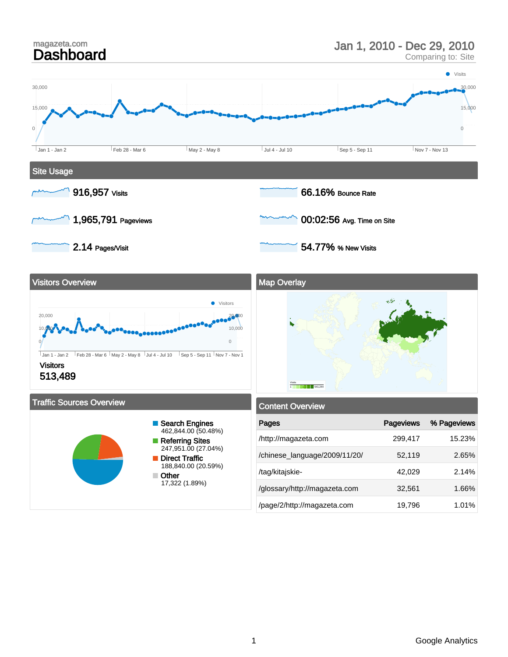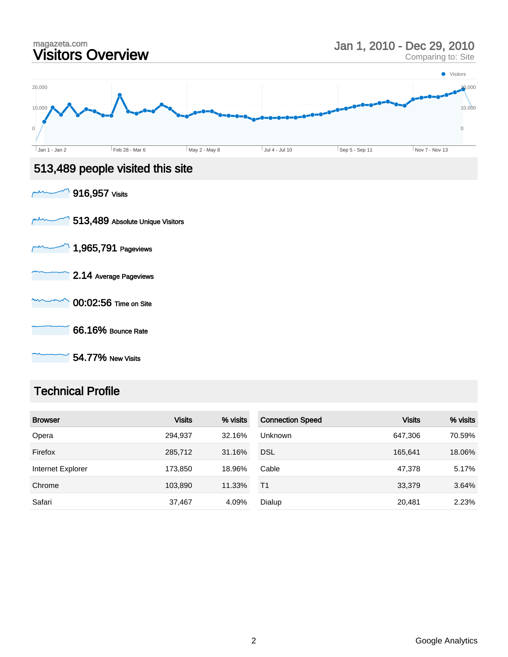

### Technical Profile

| <b>Browser</b>    | <b>Visits</b> | % visits | <b>Connection Speed</b> | <b>Visits</b> | % visits |
|-------------------|---------------|----------|-------------------------|---------------|----------|
| Opera             | 294,937       | 32.16%   | Unknown                 | 647.306       | 70.59%   |
| Firefox           | 285,712       | 31.16%   | <b>DSL</b>              | 165.641       | 18.06%   |
| Internet Explorer | 173.850       | 18.96%   | Cable                   | 47.378        | 5.17%    |
| Chrome            | 103,890       | 11.33%   | T1                      | 33,379        | 3.64%    |
| Safari            | 37,467        | 4.09%    | Dialup                  | 20,481        | 2.23%    |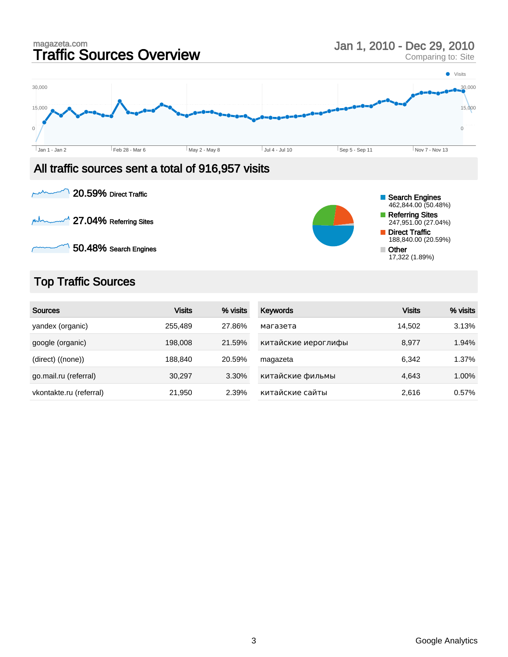





## Top Traffic Sources

| <b>Sources</b>          | <b>Visits</b> | % visits | <b>Keywords</b>     | <b>Visits</b> | % visits |
|-------------------------|---------------|----------|---------------------|---------------|----------|
| yandex (organic)        | 255.489       | 27.86%   | магазета            | 14,502        | 3.13%    |
| google (organic)        | 198,008       | 21.59%   | китайские иероглифы | 8,977         | 1.94%    |
| (direct) ((none))       | 188,840       | 20.59%   | magazeta            | 6,342         | 1.37%    |
| go.mail.ru (referral)   | 30,297        | 3.30%    | китайские фильмы    | 4,643         | 1.00%    |
| vkontakte.ru (referral) | 21,950        | 2.39%    | китайские сайты     | 2,616         | 0.57%    |

Referring Sites 247,951.00 (27.04%) Direct Traffic 188,840.00 (20.59%)

17,322 (1.89%)

Other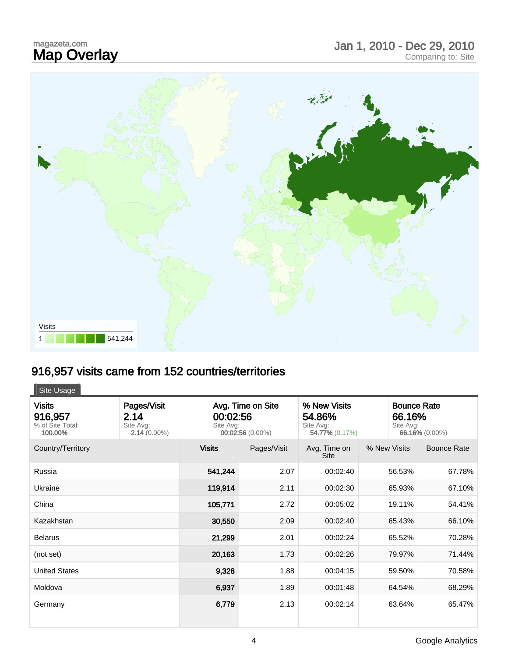# magazeta.com<br>**Map Overlay**



# 916,957 visits came from 152 countries/territories

| Site Usage                                              |                                                    |                                                                |             |                                                       |                                           |                    |
|---------------------------------------------------------|----------------------------------------------------|----------------------------------------------------------------|-------------|-------------------------------------------------------|-------------------------------------------|--------------------|
| <b>Visits</b><br>916,957<br>% of Site Total:<br>100.00% | Pages/Visit<br>2.14<br>Site Avg:<br>$2.14(0.00\%)$ | Avg. Time on Site<br>00:02:56<br>Site Avg:<br>00:02:56 (0.00%) |             | % New Visits<br>54.86%<br>Site Avg:<br>54.77% (0.17%) | <b>Bounce Rate</b><br>66.16%<br>Site Avg: | 66.16% (0.00%)     |
| Country/Territory                                       |                                                    | <b>Visits</b>                                                  | Pages/Visit | Avg. Time on<br><b>Site</b>                           | % New Visits                              | <b>Bounce Rate</b> |
| Russia                                                  |                                                    | 541,244                                                        | 2.07        | 00:02:40                                              | 56.53%                                    | 67.78%             |
| Ukraine                                                 |                                                    | 119,914                                                        | 2.11        | 00:02:30                                              | 65.93%                                    | 67.10%             |
| China                                                   |                                                    | 105,771                                                        | 2.72        | 00:05:02                                              | 19.11%                                    | 54.41%             |
| Kazakhstan                                              |                                                    | 30,550                                                         | 2.09        | 00:02:40                                              | 65.43%                                    | 66.10%             |
| <b>Belarus</b>                                          |                                                    | 21,299                                                         | 2.01        | 00:02:24                                              | 65.52%                                    | 70.28%             |
| (not set)                                               |                                                    | 20,163                                                         | 1.73        | 00:02:26                                              | 79.97%                                    | 71.44%             |
| <b>United States</b>                                    |                                                    | 9,328                                                          | 1.88        | 00:04:15                                              | 59.50%                                    | 70.58%             |
| Moldova                                                 |                                                    | 6,937                                                          | 1.89        | 00:01:48                                              | 64.54%                                    | 68.29%             |
| Germany                                                 |                                                    | 6,779                                                          | 2.13        | 00:02:14                                              | 63.64%                                    | 65.47%             |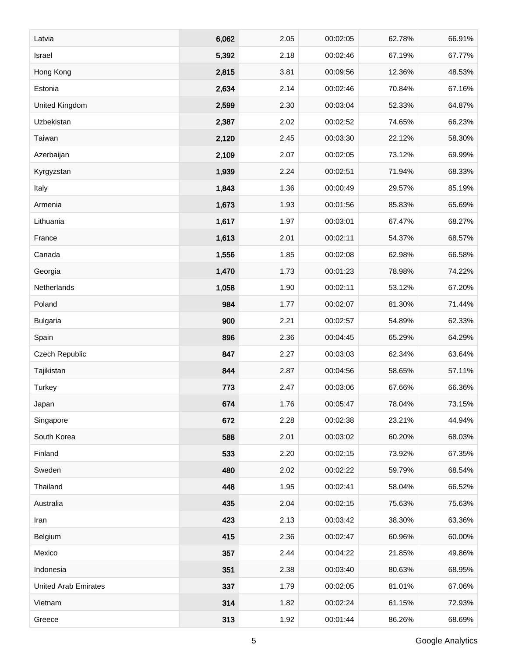| Latvia                      | 6,062 | 2.05 | 00:02:05 | 62.78% | 66.91% |
|-----------------------------|-------|------|----------|--------|--------|
| Israel                      | 5,392 | 2.18 | 00:02:46 | 67.19% | 67.77% |
| Hong Kong                   | 2,815 | 3.81 | 00:09:56 | 12.36% | 48.53% |
| Estonia                     | 2,634 | 2.14 | 00:02:46 | 70.84% | 67.16% |
| United Kingdom              | 2,599 | 2.30 | 00:03:04 | 52.33% | 64.87% |
| Uzbekistan                  | 2,387 | 2.02 | 00:02:52 | 74.65% | 66.23% |
| Taiwan                      | 2,120 | 2.45 | 00:03:30 | 22.12% | 58.30% |
| Azerbaijan                  | 2,109 | 2.07 | 00:02:05 | 73.12% | 69.99% |
| Kyrgyzstan                  | 1,939 | 2.24 | 00:02:51 | 71.94% | 68.33% |
| Italy                       | 1,843 | 1.36 | 00:00:49 | 29.57% | 85.19% |
| Armenia                     | 1,673 | 1.93 | 00:01:56 | 85.83% | 65.69% |
| Lithuania                   | 1,617 | 1.97 | 00:03:01 | 67.47% | 68.27% |
| France                      | 1,613 | 2.01 | 00:02:11 | 54.37% | 68.57% |
| Canada                      | 1,556 | 1.85 | 00:02:08 | 62.98% | 66.58% |
| Georgia                     | 1,470 | 1.73 | 00:01:23 | 78.98% | 74.22% |
| Netherlands                 | 1,058 | 1.90 | 00:02:11 | 53.12% | 67.20% |
| Poland                      | 984   | 1.77 | 00:02:07 | 81.30% | 71.44% |
| <b>Bulgaria</b>             | 900   | 2.21 | 00:02:57 | 54.89% | 62.33% |
| Spain                       | 896   | 2.36 | 00:04:45 | 65.29% | 64.29% |
| Czech Republic              | 847   | 2.27 | 00:03:03 | 62.34% | 63.64% |
| Tajikistan                  | 844   | 2.87 | 00:04:56 | 58.65% | 57.11% |
| Turkey                      | 773   | 2.47 | 00:03:06 | 67.66% | 66.36% |
| Japan                       | 674   | 1.76 | 00:05:47 | 78.04% | 73.15% |
| Singapore                   | 672   | 2.28 | 00:02:38 | 23.21% | 44.94% |
| South Korea                 | 588   | 2.01 | 00:03:02 | 60.20% | 68.03% |
| Finland                     | 533   | 2.20 | 00:02:15 | 73.92% | 67.35% |
| Sweden                      | 480   | 2.02 | 00:02:22 | 59.79% | 68.54% |
| Thailand                    | 448   | 1.95 | 00:02:41 | 58.04% | 66.52% |
| Australia                   | 435   | 2.04 | 00:02:15 | 75.63% | 75.63% |
| Iran                        | 423   | 2.13 | 00:03:42 | 38.30% | 63.36% |
| Belgium                     | 415   | 2.36 | 00:02:47 | 60.96% | 60.00% |
| Mexico                      | 357   | 2.44 | 00:04:22 | 21.85% | 49.86% |
| Indonesia                   | 351   | 2.38 | 00:03:40 | 80.63% | 68.95% |
| <b>United Arab Emirates</b> | 337   | 1.79 | 00:02:05 | 81.01% | 67.06% |
| Vietnam                     | 314   | 1.82 | 00:02:24 | 61.15% | 72.93% |
| Greece                      | 313   | 1.92 | 00:01:44 | 86.26% | 68.69% |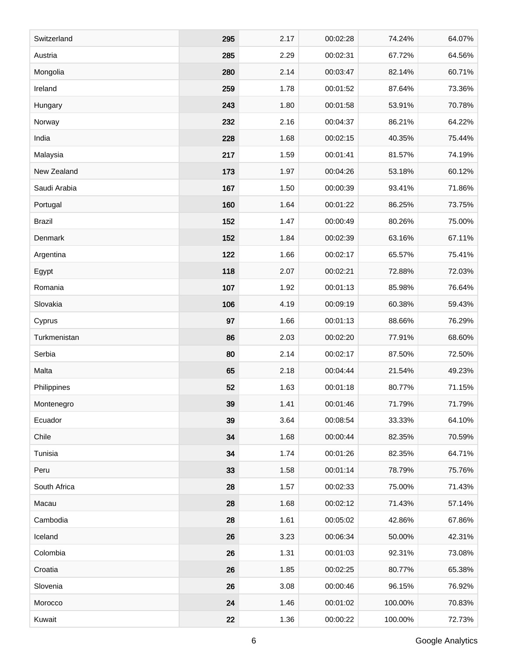| Switzerland   | 295 | 2.17 | 00:02:28 | 74.24%  | 64.07% |
|---------------|-----|------|----------|---------|--------|
| Austria       | 285 | 2.29 | 00:02:31 | 67.72%  | 64.56% |
| Mongolia      | 280 | 2.14 | 00:03:47 | 82.14%  | 60.71% |
| Ireland       | 259 | 1.78 | 00:01:52 | 87.64%  | 73.36% |
| Hungary       | 243 | 1.80 | 00:01:58 | 53.91%  | 70.78% |
| Norway        | 232 | 2.16 | 00:04:37 | 86.21%  | 64.22% |
| India         | 228 | 1.68 | 00:02:15 | 40.35%  | 75.44% |
| Malaysia      | 217 | 1.59 | 00:01:41 | 81.57%  | 74.19% |
| New Zealand   | 173 | 1.97 | 00:04:26 | 53.18%  | 60.12% |
| Saudi Arabia  | 167 | 1.50 | 00:00:39 | 93.41%  | 71.86% |
| Portugal      | 160 | 1.64 | 00:01:22 | 86.25%  | 73.75% |
| <b>Brazil</b> | 152 | 1.47 | 00:00:49 | 80.26%  | 75.00% |
| Denmark       | 152 | 1.84 | 00:02:39 | 63.16%  | 67.11% |
| Argentina     | 122 | 1.66 | 00:02:17 | 65.57%  | 75.41% |
| Egypt         | 118 | 2.07 | 00:02:21 | 72.88%  | 72.03% |
| Romania       | 107 | 1.92 | 00:01:13 | 85.98%  | 76.64% |
| Slovakia      | 106 | 4.19 | 00:09:19 | 60.38%  | 59.43% |
| Cyprus        | 97  | 1.66 | 00:01:13 | 88.66%  | 76.29% |
| Turkmenistan  | 86  | 2.03 | 00:02:20 | 77.91%  | 68.60% |
| Serbia        | 80  | 2.14 | 00:02:17 | 87.50%  | 72.50% |
| Malta         | 65  | 2.18 | 00:04:44 | 21.54%  | 49.23% |
| Philippines   | 52  | 1.63 | 00:01:18 | 80.77%  | 71.15% |
| Montenegro    | 39  | 1.41 | 00:01:46 | 71.79%  | 71.79% |
| Ecuador       | 39  | 3.64 | 00:08:54 | 33.33%  | 64.10% |
| Chile         | 34  | 1.68 | 00:00:44 | 82.35%  | 70.59% |
| Tunisia       | 34  | 1.74 | 00:01:26 | 82.35%  | 64.71% |
| Peru          | 33  | 1.58 | 00:01:14 | 78.79%  | 75.76% |
| South Africa  | 28  | 1.57 | 00:02:33 | 75.00%  | 71.43% |
| Macau         | 28  | 1.68 | 00:02:12 | 71.43%  | 57.14% |
| Cambodia      | 28  | 1.61 | 00:05:02 | 42.86%  | 67.86% |
| Iceland       | 26  | 3.23 | 00:06:34 | 50.00%  | 42.31% |
| Colombia      | 26  | 1.31 | 00:01:03 | 92.31%  | 73.08% |
| Croatia       | 26  | 1.85 | 00:02:25 | 80.77%  | 65.38% |
| Slovenia      | 26  | 3.08 | 00:00:46 | 96.15%  | 76.92% |
| Morocco       | 24  | 1.46 | 00:01:02 | 100.00% | 70.83% |
| Kuwait        | 22  | 1.36 | 00:00:22 | 100.00% | 72.73% |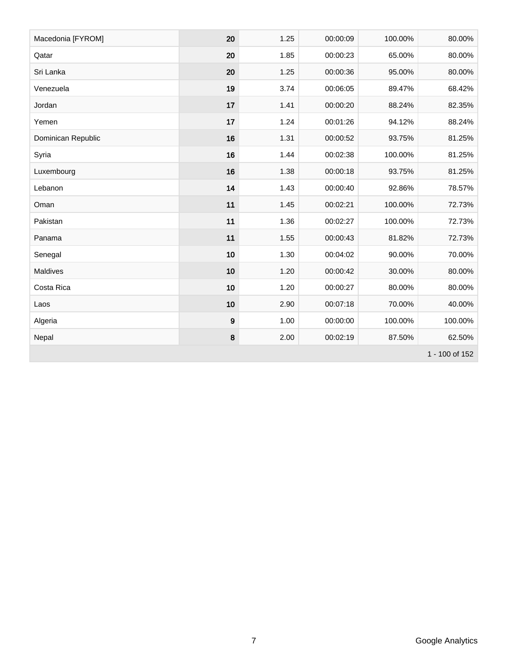| Macedonia [FYROM]  | 20               | 1.25 | 00:00:09 | 100.00% | 80.00%  |
|--------------------|------------------|------|----------|---------|---------|
| Qatar              | 20               | 1.85 | 00:00:23 | 65.00%  | 80.00%  |
| Sri Lanka          | 20               | 1.25 | 00:00:36 | 95.00%  | 80.00%  |
| Venezuela          | 19               | 3.74 | 00:06:05 | 89.47%  | 68.42%  |
| Jordan             | 17               | 1.41 | 00:00:20 | 88.24%  | 82.35%  |
| Yemen              | 17               | 1.24 | 00:01:26 | 94.12%  | 88.24%  |
| Dominican Republic | 16               | 1.31 | 00:00:52 | 93.75%  | 81.25%  |
| Syria              | 16               | 1.44 | 00:02:38 | 100.00% | 81.25%  |
| Luxembourg         | 16               | 1.38 | 00:00:18 | 93.75%  | 81.25%  |
| Lebanon            | 14               | 1.43 | 00:00:40 | 92.86%  | 78.57%  |
| Oman               | 11               | 1.45 | 00:02:21 | 100.00% | 72.73%  |
| Pakistan           | 11               | 1.36 | 00:02:27 | 100.00% | 72.73%  |
| Panama             | 11               | 1.55 | 00:00:43 | 81.82%  | 72.73%  |
| Senegal            | 10               | 1.30 | 00:04:02 | 90.00%  | 70.00%  |
| <b>Maldives</b>    | 10               | 1.20 | 00:00:42 | 30.00%  | 80.00%  |
| Costa Rica         | 10               | 1.20 | 00:00:27 | 80.00%  | 80.00%  |
| Laos               | 10               | 2.90 | 00:07:18 | 70.00%  | 40.00%  |
| Algeria            | $\boldsymbol{9}$ | 1.00 | 00:00:00 | 100.00% | 100.00% |
| Nepal              | $\bf 8$          | 2.00 | 00:02:19 | 87.50%  | 62.50%  |
| 1 - 100 of 152     |                  |      |          |         |         |